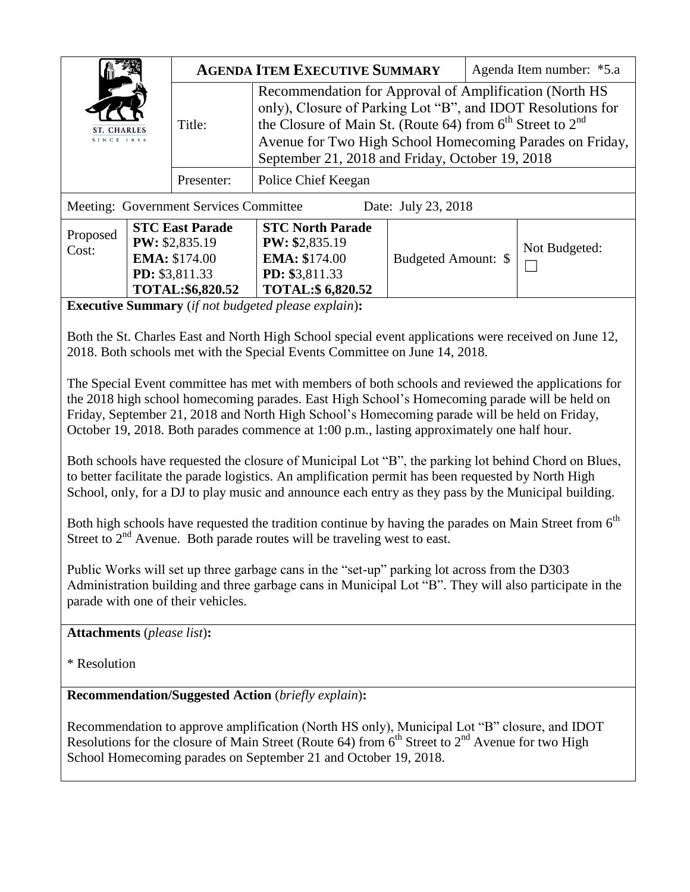| <b>SINCE 1834</b>                                                                                                                                                                                                                                                                                                                                                                                                                                                                                         |                                                                                                        | <b>AGENDA ITEM EXECUTIVE SUMMARY</b> |                                                                                                                                                                                                                                                                                                       |                     | Agenda Item number: *5.a |               |
|-----------------------------------------------------------------------------------------------------------------------------------------------------------------------------------------------------------------------------------------------------------------------------------------------------------------------------------------------------------------------------------------------------------------------------------------------------------------------------------------------------------|--------------------------------------------------------------------------------------------------------|--------------------------------------|-------------------------------------------------------------------------------------------------------------------------------------------------------------------------------------------------------------------------------------------------------------------------------------------------------|---------------------|--------------------------|---------------|
|                                                                                                                                                                                                                                                                                                                                                                                                                                                                                                           |                                                                                                        | Title:                               | Recommendation for Approval of Amplification (North HS<br>only), Closure of Parking Lot "B", and IDOT Resolutions for<br>the Closure of Main St. (Route 64) from $6th$ Street to $2nd$<br>Avenue for Two High School Homecoming Parades on Friday,<br>September 21, 2018 and Friday, October 19, 2018 |                     |                          |               |
|                                                                                                                                                                                                                                                                                                                                                                                                                                                                                                           |                                                                                                        | Presenter:                           | Police Chief Keegan                                                                                                                                                                                                                                                                                   |                     |                          |               |
| Meeting: Government Services Committee<br>Date: July 23, 2018                                                                                                                                                                                                                                                                                                                                                                                                                                             |                                                                                                        |                                      |                                                                                                                                                                                                                                                                                                       |                     |                          |               |
| Proposed<br>Cost:                                                                                                                                                                                                                                                                                                                                                                                                                                                                                         | <b>STC East Parade</b><br>PW: \$2,835.19<br><b>EMA: \$174.00</b><br>PD: \$3,811.33<br>TOTAL:\$6,820.52 |                                      | <b>STC North Parade</b><br><b>PW: \$2,835.19</b><br><b>EMA: \$174.00</b><br>PD: \$3,811.33<br><b>TOTAL:\$ 6,820.52</b>                                                                                                                                                                                | Budgeted Amount: \$ |                          | Not Budgeted: |
| <b>Executive Summary</b> (if not budgeted please explain):<br>Both the St. Charles East and North High School special event applications were received on June 12,<br>2018. Both schools met with the Special Events Committee on June 14, 2018.                                                                                                                                                                                                                                                          |                                                                                                        |                                      |                                                                                                                                                                                                                                                                                                       |                     |                          |               |
| The Special Event committee has met with members of both schools and reviewed the applications for<br>the 2018 high school homecoming parades. East High School's Homecoming parade will be held on<br>Friday, September 21, 2018 and North High School's Homecoming parade will be held on Friday,<br>October 19, 2018. Both parades commence at 1:00 p.m., lasting approximately one half hour.<br>Both schools have requested the closure of Municipal Lot "B", the parking lot behind Chord on Blues, |                                                                                                        |                                      |                                                                                                                                                                                                                                                                                                       |                     |                          |               |
| to better facilitate the parade logistics. An amplification permit has been requested by North High<br>School, only, for a DJ to play music and announce each entry as they pass by the Municipal building.<br>Both high schools have requested the tradition continue by having the parades on Main Street from $6th$                                                                                                                                                                                    |                                                                                                        |                                      |                                                                                                                                                                                                                                                                                                       |                     |                          |               |
| Street to $2nd$ Avenue. Both parade routes will be traveling west to east.<br>Public Works will set up three garbage cans in the "set-up" parking lot across from the D303<br>Administration building and three garbage cans in Municipal Lot "B". They will also participate in the<br>parade with one of their vehicles.                                                                                                                                                                                |                                                                                                        |                                      |                                                                                                                                                                                                                                                                                                       |                     |                          |               |
| <b>Attachments</b> (please list):<br>* Resolution                                                                                                                                                                                                                                                                                                                                                                                                                                                         |                                                                                                        |                                      |                                                                                                                                                                                                                                                                                                       |                     |                          |               |
| <b>Recommendation/Suggested Action</b> (briefly explain):                                                                                                                                                                                                                                                                                                                                                                                                                                                 |                                                                                                        |                                      |                                                                                                                                                                                                                                                                                                       |                     |                          |               |
| Recommendation to approve amplification (North HS only), Municipal Lot "B" closure, and IDOT<br>Resolutions for the closure of Main Street (Route 64) from $6th$ Street to $2nd$ Avenue for two High<br>School Homecoming parades on September 21 and October 19, 2018.                                                                                                                                                                                                                                   |                                                                                                        |                                      |                                                                                                                                                                                                                                                                                                       |                     |                          |               |
|                                                                                                                                                                                                                                                                                                                                                                                                                                                                                                           |                                                                                                        |                                      |                                                                                                                                                                                                                                                                                                       |                     |                          |               |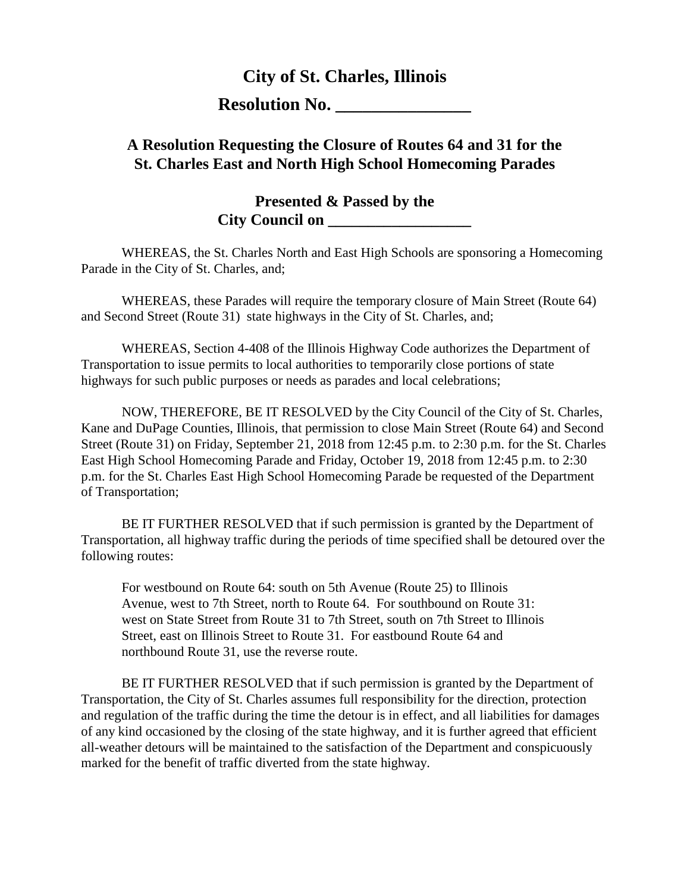## **City of St. Charles, Illinois**

**Resolution No.** 

## **A Resolution Requesting the Closure of Routes 64 and 31 for the St. Charles East and North High School Homecoming Parades**

**Presented & Passed by the City Council on** 

WHEREAS, the St. Charles North and East High Schools are sponsoring a Homecoming Parade in the City of St. Charles, and;

WHEREAS, these Parades will require the temporary closure of Main Street (Route 64) and Second Street (Route 31) state highways in the City of St. Charles, and;

WHEREAS, Section 4-408 of the Illinois Highway Code authorizes the Department of Transportation to issue permits to local authorities to temporarily close portions of state highways for such public purposes or needs as parades and local celebrations;

NOW, THEREFORE, BE IT RESOLVED by the City Council of the City of St. Charles, Kane and DuPage Counties, Illinois, that permission to close Main Street (Route 64) and Second Street (Route 31) on Friday, September 21, 2018 from 12:45 p.m. to 2:30 p.m. for the St. Charles East High School Homecoming Parade and Friday, October 19, 2018 from 12:45 p.m. to 2:30 p.m. for the St. Charles East High School Homecoming Parade be requested of the Department of Transportation;

BE IT FURTHER RESOLVED that if such permission is granted by the Department of Transportation, all highway traffic during the periods of time specified shall be detoured over the following routes:

For westbound on Route 64: south on 5th Avenue (Route 25) to Illinois Avenue, west to 7th Street, north to Route 64. For southbound on Route 31: west on State Street from Route 31 to 7th Street, south on 7th Street to Illinois Street, east on Illinois Street to Route 31. For eastbound Route 64 and northbound Route 31, use the reverse route.

BE IT FURTHER RESOLVED that if such permission is granted by the Department of Transportation, the City of St. Charles assumes full responsibility for the direction, protection and regulation of the traffic during the time the detour is in effect, and all liabilities for damages of any kind occasioned by the closing of the state highway, and it is further agreed that efficient all-weather detours will be maintained to the satisfaction of the Department and conspicuously marked for the benefit of traffic diverted from the state highway.